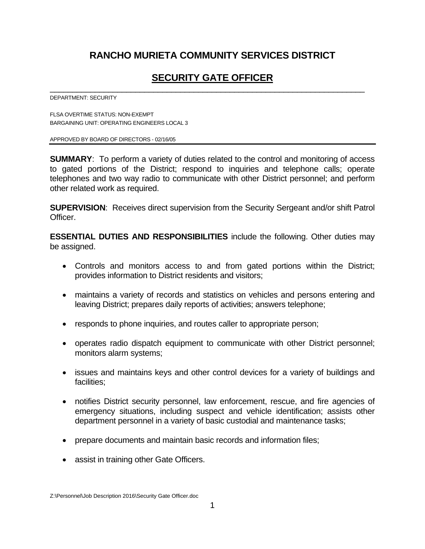# **RANCHO MURIETA COMMUNITY SERVICES DISTRICT**

# **SECURITY GATE OFFICER**

\_\_\_\_\_\_\_\_\_\_\_\_\_\_\_\_\_\_\_\_\_\_\_\_\_\_\_\_\_\_\_\_\_\_\_\_\_\_\_\_\_\_\_\_\_\_\_\_\_\_\_\_\_\_\_\_\_\_\_\_\_\_\_\_\_\_\_\_\_\_

DEPARTMENT: SECURITY

FLSA OVERTIME STATUS: NON-EXEMPT BARGAINING UNIT: OPERATING ENGINEERS LOCAL 3

APPROVED BY BOARD OF DIRECTORS - 02/16/05

**SUMMARY**: To perform a variety of duties related to the control and monitoring of access to gated portions of the District; respond to inquiries and telephone calls; operate telephones and two way radio to communicate with other District personnel; and perform other related work as required.

**SUPERVISION**: Receives direct supervision from the Security Sergeant and/or shift Patrol Officer.

**ESSENTIAL DUTIES AND RESPONSIBILITIES** include the following. Other duties may be assigned.

- Controls and monitors access to and from gated portions within the District; provides information to District residents and visitors;
- maintains a variety of records and statistics on vehicles and persons entering and leaving District; prepares daily reports of activities; answers telephone;
- responds to phone inquiries, and routes caller to appropriate person;
- operates radio dispatch equipment to communicate with other District personnel; monitors alarm systems;
- issues and maintains keys and other control devices for a variety of buildings and facilities;
- notifies District security personnel, law enforcement, rescue, and fire agencies of emergency situations, including suspect and vehicle identification; assists other department personnel in a variety of basic custodial and maintenance tasks;
- prepare documents and maintain basic records and information files;
- assist in training other Gate Officers.

Z:\Personnel\Job Description 2016\Security Gate Officer.doc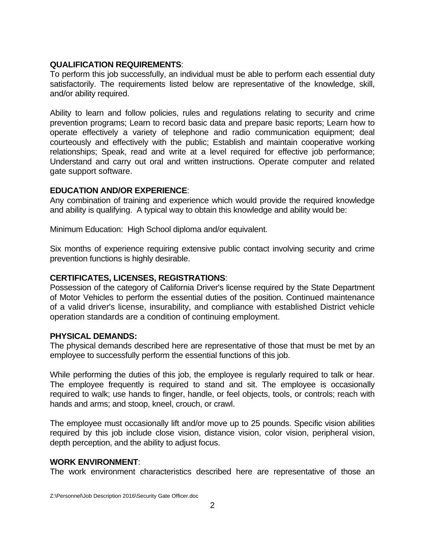### **QUALIFICATION REQUIREMENTS**:

To perform this job successfully, an individual must be able to perform each essential duty satisfactorily. The requirements listed below are representative of the knowledge, skill, and/or ability required.

Ability to learn and follow policies, rules and regulations relating to security and crime prevention programs; Learn to record basic data and prepare basic reports; Learn how to operate effectively a variety of telephone and radio communication equipment; deal courteously and effectively with the public; Establish and maintain cooperative working relationships; Speak, read and write at a level required for effective job performance; Understand and carry out oral and written instructions. Operate computer and related gate support software.

#### **EDUCATION AND/OR EXPERIENCE**:

Any combination of training and experience which would provide the required knowledge and ability is qualifying. A typical way to obtain this knowledge and ability would be:

Minimum Education: High School diploma and/or equivalent.

Six months of experience requiring extensive public contact involving security and crime prevention functions is highly desirable.

## **CERTIFICATES, LICENSES, REGISTRATIONS**:

Possession of the category of California Driver's license required by the State Department of Motor Vehicles to perform the essential duties of the position. Continued maintenance of a valid driver's license, insurability, and compliance with established District vehicle operation standards are a condition of continuing employment.

#### **PHYSICAL DEMANDS:**

The physical demands described here are representative of those that must be met by an employee to successfully perform the essential functions of this job.

While performing the duties of this job, the employee is regularly required to talk or hear. The employee frequently is required to stand and sit. The employee is occasionally required to walk; use hands to finger, handle, or feel objects, tools, or controls; reach with hands and arms; and stoop, kneel, crouch, or crawl.

The employee must occasionally lift and/or move up to 25 pounds. Specific vision abilities required by this job include close vision, distance vision, color vision, peripheral vision, depth perception, and the ability to adjust focus.

#### **WORK ENVIRONMENT**:

The work environment characteristics described here are representative of those an